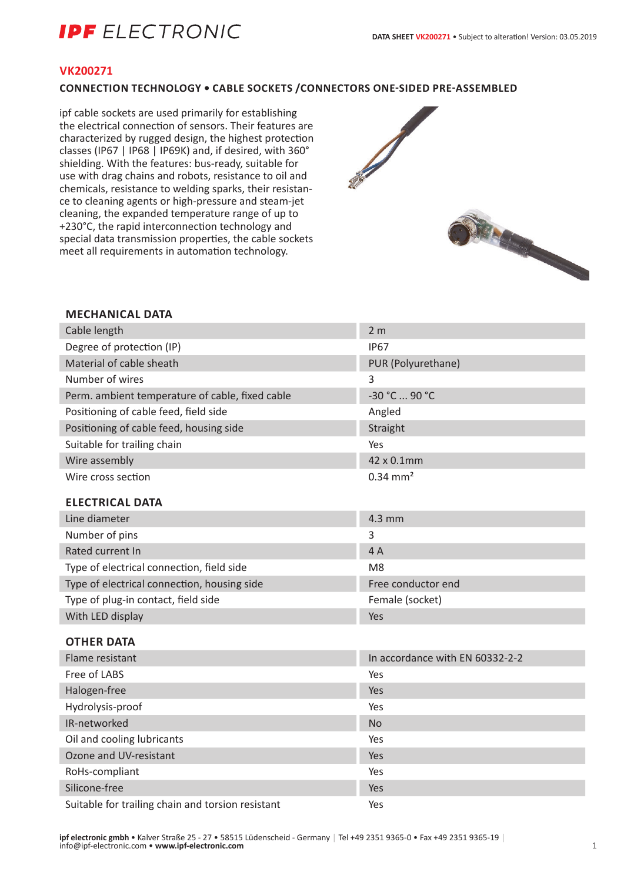# **IPF** ELECTRONIC

#### **VK200271**

#### **CONNECTION TECHNOLOGY • CABLE SOCKETS /CONNECTORS ONE-SIDED PRE-ASSEMBLED**

ipf cable sockets are used primarily for establishing the electrical connection of sensors. Their features are characterized by rugged design, the highest protection classes (IP67 | IP68 | IP69K) and, if desired, with 360° shielding. With the features: bus-ready, suitable for use with drag chains and robots, resistance to oil and chemicals, resistance to welding sparks, their resistance to cleaning agents or high-pressure and steam-jet cleaning, the expanded temperature range of up to +230°C, the rapid interconnection technology and special data transmission properties, the cable sockets meet all requirements in automation technology.



#### **MECHANICAL DATA**

| Cable length                                      | 2 <sub>m</sub>                  |
|---------------------------------------------------|---------------------------------|
| Degree of protection (IP)                         | <b>IP67</b>                     |
| Material of cable sheath                          | PUR (Polyurethane)              |
| Number of wires                                   | 3                               |
| Perm. ambient temperature of cable, fixed cable   | -30 °C  90 °C                   |
| Positioning of cable feed, field side             | Angled                          |
| Positioning of cable feed, housing side           | Straight                        |
| Suitable for trailing chain                       | Yes                             |
| Wire assembly                                     | 42 x 0.1mm                      |
| Wire cross section                                | $0.34$ mm <sup>2</sup>          |
| <b>ELECTRICAL DATA</b>                            |                                 |
| Line diameter                                     | 4.3 mm                          |
| Number of pins                                    | 3                               |
| Rated current In                                  | 4A                              |
| Type of electrical connection, field side         | M8                              |
| Type of electrical connection, housing side       | Free conductor end              |
| Type of plug-in contact, field side               | Female (socket)                 |
| With LED display                                  | Yes                             |
| <b>OTHER DATA</b>                                 |                                 |
| Flame resistant                                   | In accordance with EN 60332-2-2 |
| Free of LABS                                      | Yes                             |
| Halogen-free                                      | Yes                             |
| Hydrolysis-proof                                  | Yes                             |
| IR-networked                                      | <b>No</b>                       |
| Oil and cooling lubricants                        | Yes                             |
| Ozone and UV-resistant                            | Yes                             |
| RoHs-compliant                                    | Yes                             |
| Silicone-free                                     | Yes                             |
| Suitable for trailing chain and torsion resistant | Yes                             |